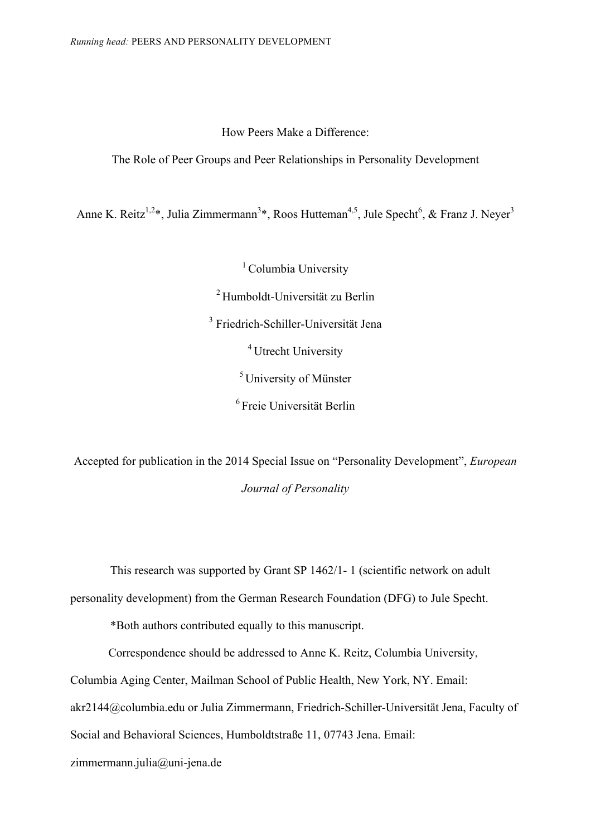How Peers Make a Difference:

# The Role of Peer Groups and Peer Relationships in Personality Development

Anne K. Reitz<sup>1,2\*</sup>, Julia Zimmermann<sup>3\*</sup>, Roos Hutteman<sup>4,5</sup>, Jule Specht<sup>6</sup>, & Franz J. Neyer<sup>3</sup>

<sup>1</sup> Columbia University <sup>2</sup> Humboldt-Universität zu Berlin <sup>3</sup> Friedrich-Schiller-Universität Jena 4 Utrecht University  $<sup>5</sup>$  University of Münster</sup> 6 Freie Universität Berlin

Accepted for publication in the 2014 Special Issue on "Personality Development", *European Journal of Personality*

This research was supported by Grant SP 1462/1- 1 (scientific network on adult

personality development) from the German Research Foundation (DFG) to Jule Specht.

\*Both authors contributed equally to this manuscript.

Correspondence should be addressed to Anne K. Reitz, Columbia University,

Columbia Aging Center, Mailman School of Public Health, New York, NY. Email:

akr2144@columbia.edu or Julia Zimmermann, Friedrich-Schiller-Universität Jena, Faculty of

Social and Behavioral Sciences, Humboldtstraße 11, 07743 Jena. Email:

zimmermann.julia@uni-jena.de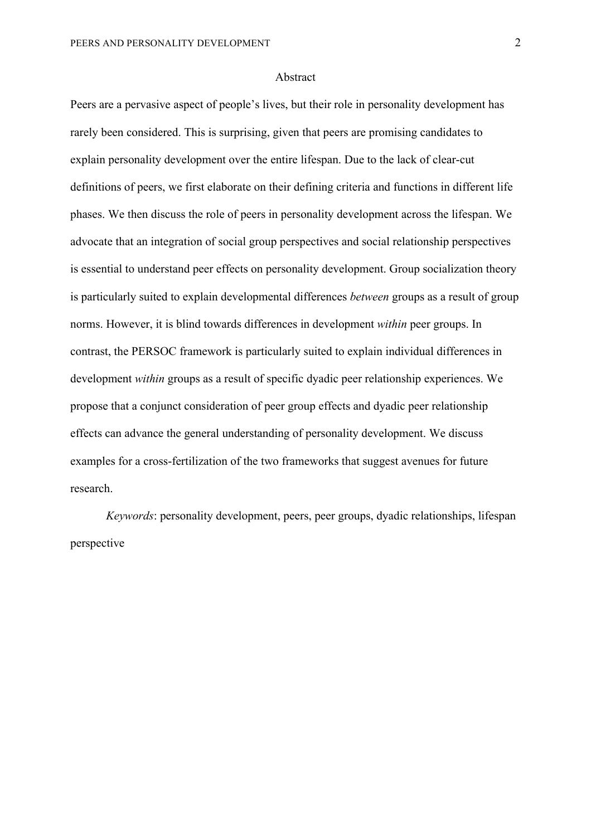#### Abstract

Peers are a pervasive aspect of people's lives, but their role in personality development has rarely been considered. This is surprising, given that peers are promising candidates to explain personality development over the entire lifespan. Due to the lack of clear-cut definitions of peers, we first elaborate on their defining criteria and functions in different life phases. We then discuss the role of peers in personality development across the lifespan. We advocate that an integration of social group perspectives and social relationship perspectives is essential to understand peer effects on personality development. Group socialization theory is particularly suited to explain developmental differences *between* groups as a result of group norms. However, it is blind towards differences in development *within* peer groups. In contrast, the PERSOC framework is particularly suited to explain individual differences in development *within* groups as a result of specific dyadic peer relationship experiences. We propose that a conjunct consideration of peer group effects and dyadic peer relationship effects can advance the general understanding of personality development. We discuss examples for a cross-fertilization of the two frameworks that suggest avenues for future research.

*Keywords*: personality development, peers, peer groups, dyadic relationships, lifespan perspective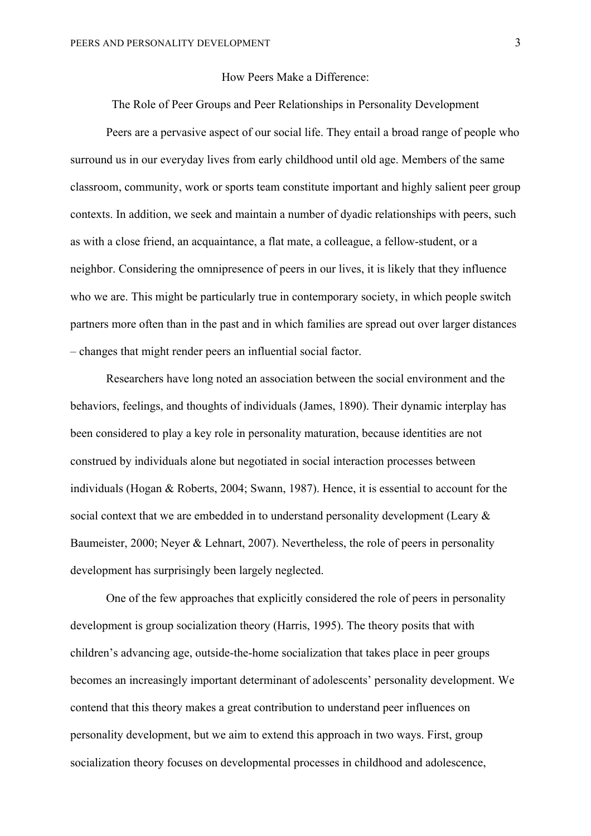# How Peers Make a Difference:

The Role of Peer Groups and Peer Relationships in Personality Development

Peers are a pervasive aspect of our social life. They entail a broad range of people who surround us in our everyday lives from early childhood until old age. Members of the same classroom, community, work or sports team constitute important and highly salient peer group contexts. In addition, we seek and maintain a number of dyadic relationships with peers, such as with a close friend, an acquaintance, a flat mate, a colleague, a fellow-student, or a neighbor. Considering the omnipresence of peers in our lives, it is likely that they influence who we are. This might be particularly true in contemporary society, in which people switch partners more often than in the past and in which families are spread out over larger distances – changes that might render peers an influential social factor.

Researchers have long noted an association between the social environment and the behaviors, feelings, and thoughts of individuals (James, 1890). Their dynamic interplay has been considered to play a key role in personality maturation, because identities are not construed by individuals alone but negotiated in social interaction processes between individuals (Hogan & Roberts, 2004; Swann, 1987). Hence, it is essential to account for the social context that we are embedded in to understand personality development (Leary & Baumeister, 2000; Neyer & Lehnart, 2007). Nevertheless, the role of peers in personality development has surprisingly been largely neglected.

One of the few approaches that explicitly considered the role of peers in personality development is group socialization theory (Harris, 1995). The theory posits that with children's advancing age, outside-the-home socialization that takes place in peer groups becomes an increasingly important determinant of adolescents' personality development. We contend that this theory makes a great contribution to understand peer influences on personality development, but we aim to extend this approach in two ways. First, group socialization theory focuses on developmental processes in childhood and adolescence,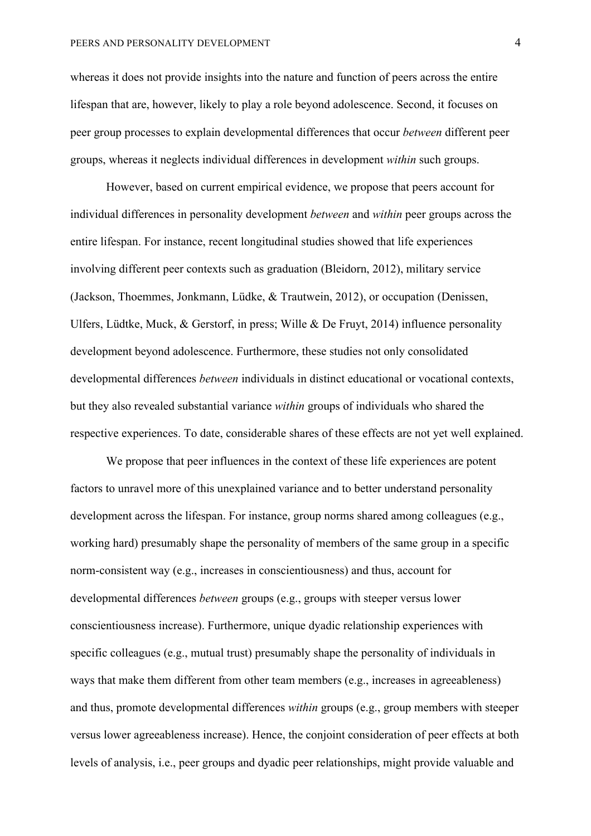whereas it does not provide insights into the nature and function of peers across the entire lifespan that are, however, likely to play a role beyond adolescence. Second, it focuses on peer group processes to explain developmental differences that occur *between* different peer groups, whereas it neglects individual differences in development *within* such groups.

However, based on current empirical evidence, we propose that peers account for individual differences in personality development *between* and *within* peer groups across the entire lifespan. For instance, recent longitudinal studies showed that life experiences involving different peer contexts such as graduation (Bleidorn, 2012), military service (Jackson, Thoemmes, Jonkmann, Lüdke, & Trautwein, 2012), or occupation (Denissen, Ulfers, Lüdtke, Muck, & Gerstorf, in press; Wille & De Fruyt, 2014) influence personality development beyond adolescence. Furthermore, these studies not only consolidated developmental differences *between* individuals in distinct educational or vocational contexts, but they also revealed substantial variance *within* groups of individuals who shared the respective experiences. To date, considerable shares of these effects are not yet well explained.

We propose that peer influences in the context of these life experiences are potent factors to unravel more of this unexplained variance and to better understand personality development across the lifespan. For instance, group norms shared among colleagues (e.g., working hard) presumably shape the personality of members of the same group in a specific norm-consistent way (e.g., increases in conscientiousness) and thus, account for developmental differences *between* groups (e.g., groups with steeper versus lower conscientiousness increase). Furthermore, unique dyadic relationship experiences with specific colleagues (e.g., mutual trust) presumably shape the personality of individuals in ways that make them different from other team members (e.g., increases in agreeableness) and thus, promote developmental differences *within* groups (e.g., group members with steeper versus lower agreeableness increase). Hence, the conjoint consideration of peer effects at both levels of analysis, i.e., peer groups and dyadic peer relationships, might provide valuable and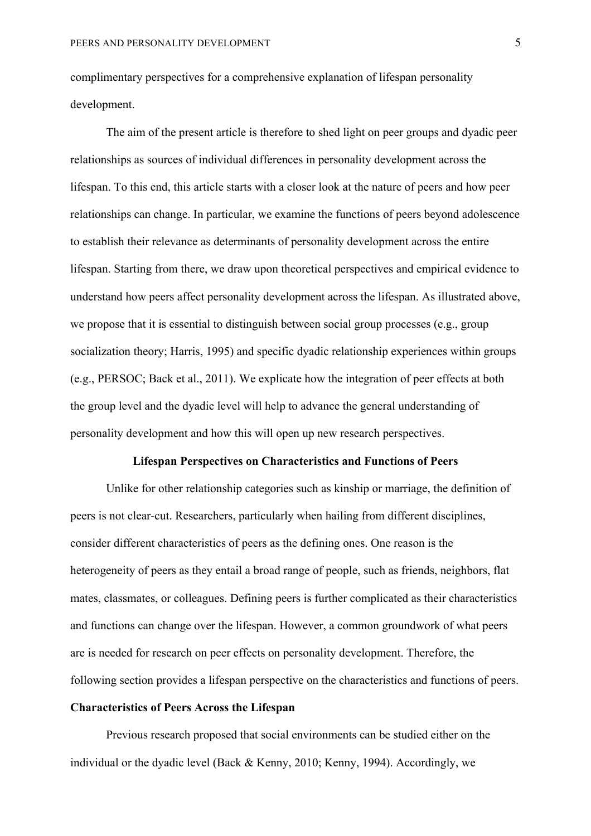complimentary perspectives for a comprehensive explanation of lifespan personality development.

The aim of the present article is therefore to shed light on peer groups and dyadic peer relationships as sources of individual differences in personality development across the lifespan. To this end, this article starts with a closer look at the nature of peers and how peer relationships can change. In particular, we examine the functions of peers beyond adolescence to establish their relevance as determinants of personality development across the entire lifespan. Starting from there, we draw upon theoretical perspectives and empirical evidence to understand how peers affect personality development across the lifespan. As illustrated above, we propose that it is essential to distinguish between social group processes (e.g., group socialization theory; Harris, 1995) and specific dyadic relationship experiences within groups (e.g., PERSOC; Back et al., 2011). We explicate how the integration of peer effects at both the group level and the dyadic level will help to advance the general understanding of personality development and how this will open up new research perspectives.

# **Lifespan Perspectives on Characteristics and Functions of Peers**

Unlike for other relationship categories such as kinship or marriage, the definition of peers is not clear-cut. Researchers, particularly when hailing from different disciplines, consider different characteristics of peers as the defining ones. One reason is the heterogeneity of peers as they entail a broad range of people, such as friends, neighbors, flat mates, classmates, or colleagues. Defining peers is further complicated as their characteristics and functions can change over the lifespan. However, a common groundwork of what peers are is needed for research on peer effects on personality development. Therefore, the following section provides a lifespan perspective on the characteristics and functions of peers.

# **Characteristics of Peers Across the Lifespan**

Previous research proposed that social environments can be studied either on the individual or the dyadic level (Back & Kenny, 2010; Kenny, 1994). Accordingly, we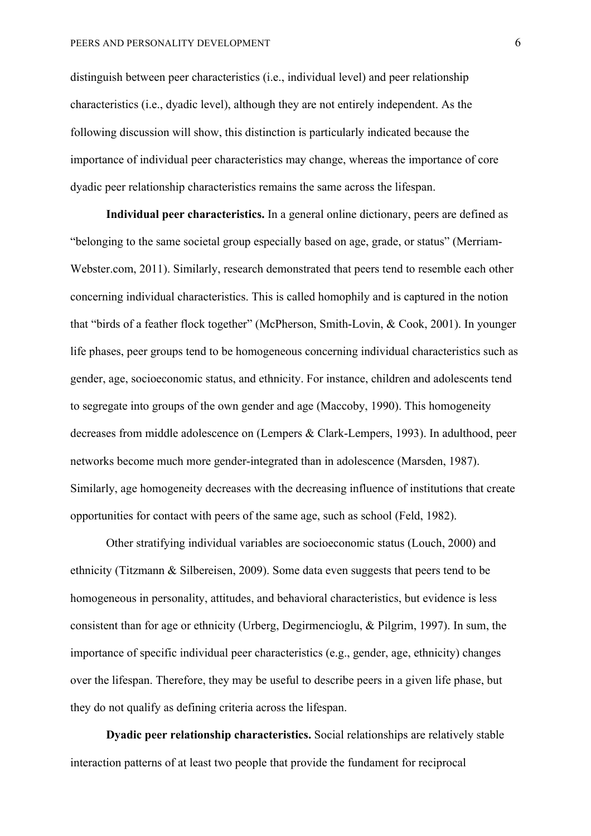distinguish between peer characteristics (i.e., individual level) and peer relationship characteristics (i.e., dyadic level), although they are not entirely independent. As the following discussion will show, this distinction is particularly indicated because the importance of individual peer characteristics may change, whereas the importance of core dyadic peer relationship characteristics remains the same across the lifespan.

**Individual peer characteristics.** In a general online dictionary, peers are defined as "belonging to the same societal group especially based on age, grade, or status" (Merriam-Webster.com, 2011). Similarly, research demonstrated that peers tend to resemble each other concerning individual characteristics. This is called homophily and is captured in the notion that "birds of a feather flock together" (McPherson, Smith-Lovin, & Cook, 2001). In younger life phases, peer groups tend to be homogeneous concerning individual characteristics such as gender, age, socioeconomic status, and ethnicity. For instance, children and adolescents tend to segregate into groups of the own gender and age (Maccoby, 1990). This homogeneity decreases from middle adolescence on (Lempers & Clark-Lempers, 1993). In adulthood, peer networks become much more gender-integrated than in adolescence (Marsden, 1987). Similarly, age homogeneity decreases with the decreasing influence of institutions that create opportunities for contact with peers of the same age, such as school (Feld, 1982).

Other stratifying individual variables are socioeconomic status (Louch, 2000) and ethnicity (Titzmann & Silbereisen, 2009). Some data even suggests that peers tend to be homogeneous in personality, attitudes, and behavioral characteristics, but evidence is less consistent than for age or ethnicity (Urberg, Degirmencioglu, & Pilgrim, 1997). In sum, the importance of specific individual peer characteristics (e.g., gender, age, ethnicity) changes over the lifespan. Therefore, they may be useful to describe peers in a given life phase, but they do not qualify as defining criteria across the lifespan.

**Dyadic peer relationship characteristics.** Social relationships are relatively stable interaction patterns of at least two people that provide the fundament for reciprocal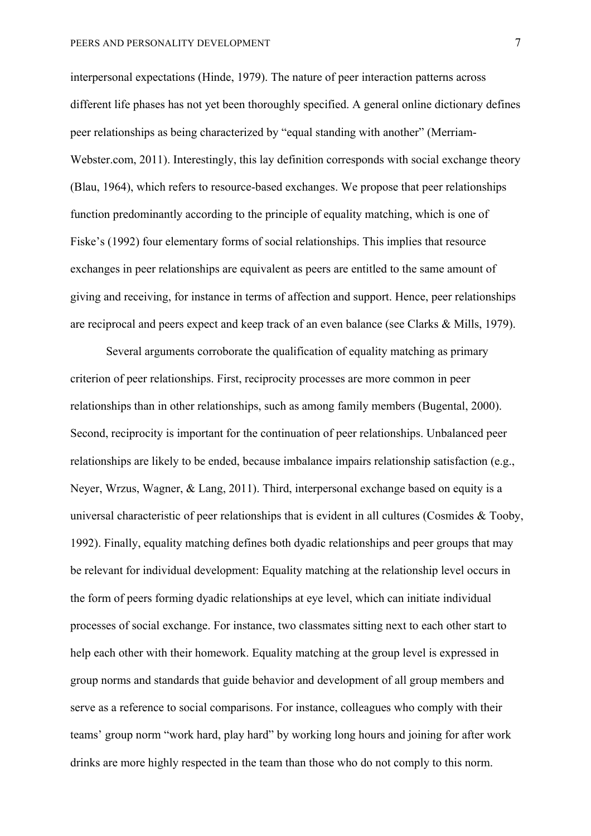interpersonal expectations (Hinde, 1979). The nature of peer interaction patterns across different life phases has not yet been thoroughly specified. A general online dictionary defines peer relationships as being characterized by "equal standing with another" (Merriam-Webster.com, 2011). Interestingly, this lay definition corresponds with social exchange theory (Blau, 1964), which refers to resource-based exchanges. We propose that peer relationships function predominantly according to the principle of equality matching, which is one of Fiske's (1992) four elementary forms of social relationships. This implies that resource exchanges in peer relationships are equivalent as peers are entitled to the same amount of giving and receiving, for instance in terms of affection and support. Hence, peer relationships are reciprocal and peers expect and keep track of an even balance (see Clarks & Mills, 1979).

Several arguments corroborate the qualification of equality matching as primary criterion of peer relationships. First, reciprocity processes are more common in peer relationships than in other relationships, such as among family members (Bugental, 2000). Second, reciprocity is important for the continuation of peer relationships. Unbalanced peer relationships are likely to be ended, because imbalance impairs relationship satisfaction (e.g., Neyer, Wrzus, Wagner, & Lang, 2011). Third, interpersonal exchange based on equity is a universal characteristic of peer relationships that is evident in all cultures (Cosmides  $\&$  Tooby, 1992). Finally, equality matching defines both dyadic relationships and peer groups that may be relevant for individual development: Equality matching at the relationship level occurs in the form of peers forming dyadic relationships at eye level, which can initiate individual processes of social exchange. For instance, two classmates sitting next to each other start to help each other with their homework. Equality matching at the group level is expressed in group norms and standards that guide behavior and development of all group members and serve as a reference to social comparisons. For instance, colleagues who comply with their teams' group norm "work hard, play hard" by working long hours and joining for after work drinks are more highly respected in the team than those who do not comply to this norm.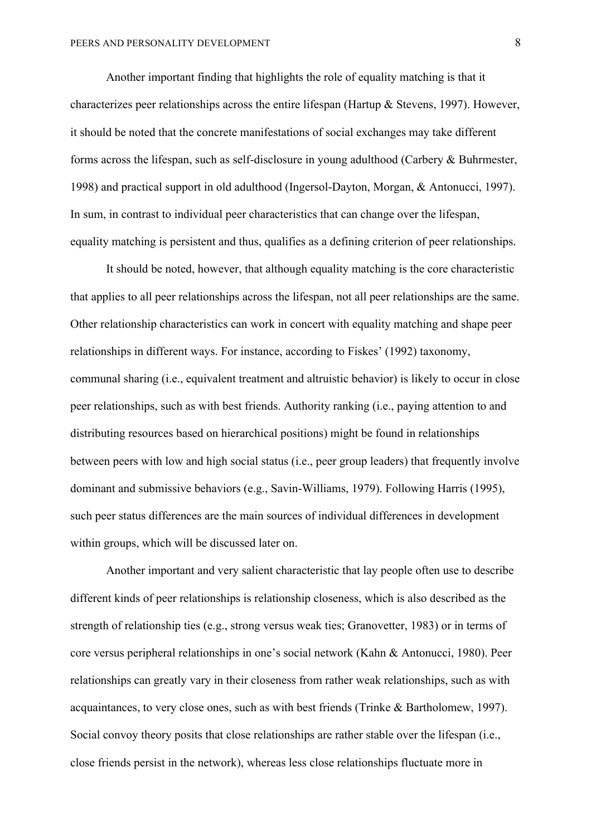Another important finding that highlights the role of equality matching is that it characterizes peer relationships across the entire lifespan (Hartup & Stevens, 1997). However, it should be noted that the concrete manifestations of social exchanges may take different forms across the lifespan, such as self-disclosure in young adulthood (Carbery & Buhrmester, 1998) and practical support in old adulthood (Ingersol-Dayton, Morgan, & Antonucci, 1997). In sum, in contrast to individual peer characteristics that can change over the lifespan, equality matching is persistent and thus, qualifies as a defining criterion of peer relationships.

It should be noted, however, that although equality matching is the core characteristic that applies to all peer relationships across the lifespan, not all peer relationships are the same. Other relationship characteristics can work in concert with equality matching and shape peer relationships in different ways. For instance, according to Fiskes' (1992) taxonomy, communal sharing (i.e., equivalent treatment and altruistic behavior) is likely to occur in close peer relationships, such as with best friends. Authority ranking (i.e., paying attention to and distributing resources based on hierarchical positions) might be found in relationships between peers with low and high social status (i.e., peer group leaders) that frequently involve dominant and submissive behaviors (e.g., Savin-Williams, 1979). Following Harris (1995), such peer status differences are the main sources of individual differences in development within groups, which will be discussed later on.

Another important and very salient characteristic that lay people often use to describe different kinds of peer relationships is relationship closeness, which is also described as the strength of relationship ties (e.g., strong versus weak ties; Granovetter, 1983) or in terms of core versus peripheral relationships in one's social network (Kahn & Antonucci, 1980). Peer relationships can greatly vary in their closeness from rather weak relationships, such as with acquaintances, to very close ones, such as with best friends (Trinke & Bartholomew, 1997). Social convoy theory posits that close relationships are rather stable over the lifespan (i.e., close friends persist in the network), whereas less close relationships fluctuate more in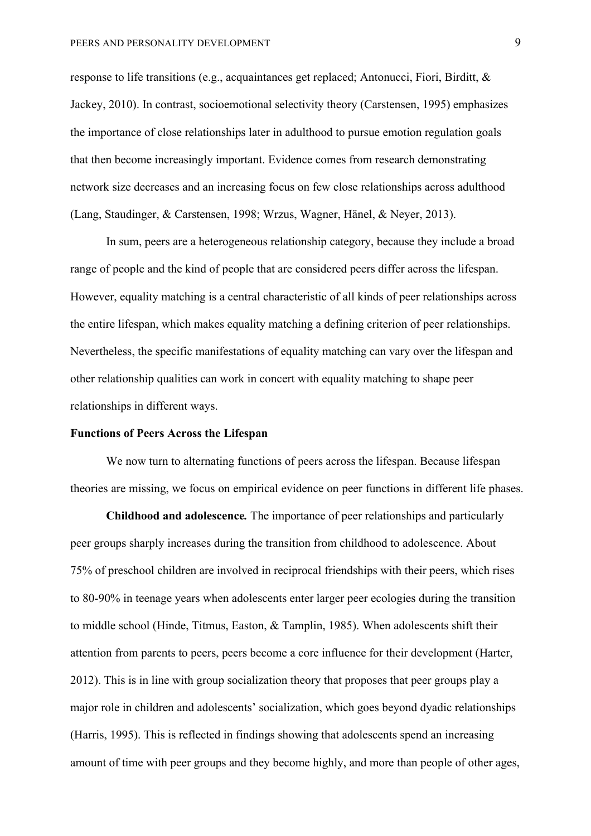response to life transitions (e.g., acquaintances get replaced; Antonucci, Fiori, Birditt, & Jackey, 2010). In contrast, socioemotional selectivity theory (Carstensen, 1995) emphasizes the importance of close relationships later in adulthood to pursue emotion regulation goals that then become increasingly important. Evidence comes from research demonstrating network size decreases and an increasing focus on few close relationships across adulthood (Lang, Staudinger, & Carstensen, 1998; Wrzus, Wagner, Hänel, & Neyer, 2013).

In sum, peers are a heterogeneous relationship category, because they include a broad range of people and the kind of people that are considered peers differ across the lifespan. However, equality matching is a central characteristic of all kinds of peer relationships across the entire lifespan, which makes equality matching a defining criterion of peer relationships. Nevertheless, the specific manifestations of equality matching can vary over the lifespan and other relationship qualities can work in concert with equality matching to shape peer relationships in different ways.

### **Functions of Peers Across the Lifespan**

We now turn to alternating functions of peers across the lifespan. Because lifespan theories are missing, we focus on empirical evidence on peer functions in different life phases.

**Childhood and adolescence***.* The importance of peer relationships and particularly peer groups sharply increases during the transition from childhood to adolescence. About 75% of preschool children are involved in reciprocal friendships with their peers, which rises to 80-90% in teenage years when adolescents enter larger peer ecologies during the transition to middle school (Hinde, Titmus, Easton, & Tamplin, 1985). When adolescents shift their attention from parents to peers, peers become a core influence for their development (Harter, 2012). This is in line with group socialization theory that proposes that peer groups play a major role in children and adolescents' socialization, which goes beyond dyadic relationships (Harris, 1995). This is reflected in findings showing that adolescents spend an increasing amount of time with peer groups and they become highly, and more than people of other ages,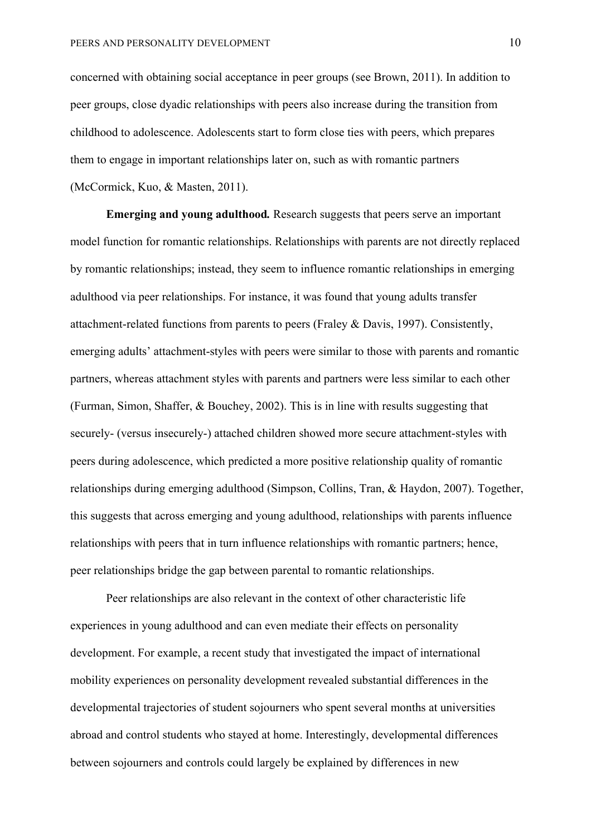concerned with obtaining social acceptance in peer groups (see Brown, 2011). In addition to peer groups, close dyadic relationships with peers also increase during the transition from childhood to adolescence. Adolescents start to form close ties with peers, which prepares them to engage in important relationships later on, such as with romantic partners (McCormick, Kuo, & Masten, 2011).

**Emerging and young adulthood***.* Research suggests that peers serve an important model function for romantic relationships. Relationships with parents are not directly replaced by romantic relationships; instead, they seem to influence romantic relationships in emerging adulthood via peer relationships. For instance, it was found that young adults transfer attachment-related functions from parents to peers (Fraley & Davis, 1997). Consistently, emerging adults' attachment-styles with peers were similar to those with parents and romantic partners, whereas attachment styles with parents and partners were less similar to each other (Furman, Simon, Shaffer, & Bouchey, 2002). This is in line with results suggesting that securely- (versus insecurely-) attached children showed more secure attachment-styles with peers during adolescence, which predicted a more positive relationship quality of romantic relationships during emerging adulthood (Simpson, Collins, Tran, & Haydon, 2007). Together, this suggests that across emerging and young adulthood, relationships with parents influence relationships with peers that in turn influence relationships with romantic partners; hence, peer relationships bridge the gap between parental to romantic relationships.

Peer relationships are also relevant in the context of other characteristic life experiences in young adulthood and can even mediate their effects on personality development. For example, a recent study that investigated the impact of international mobility experiences on personality development revealed substantial differences in the developmental trajectories of student sojourners who spent several months at universities abroad and control students who stayed at home. Interestingly, developmental differences between sojourners and controls could largely be explained by differences in new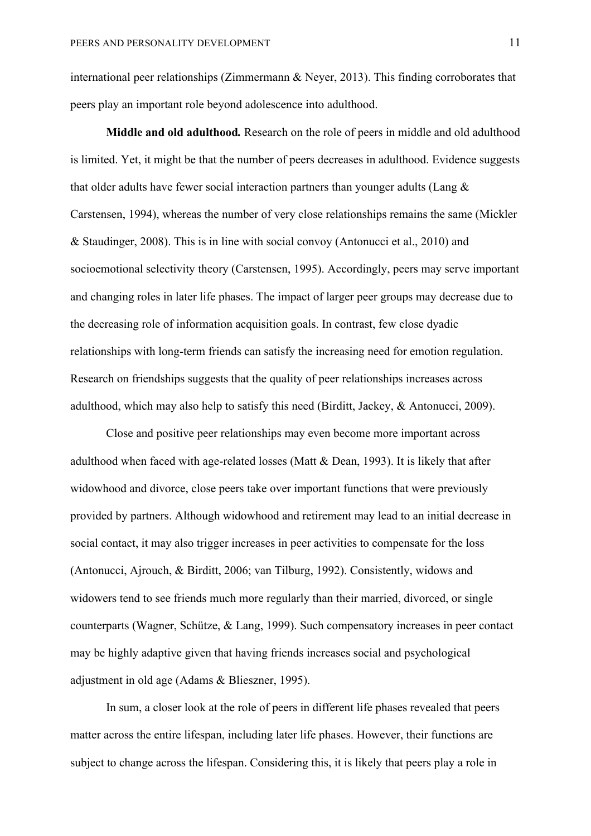international peer relationships (Zimmermann & Neyer, 2013). This finding corroborates that peers play an important role beyond adolescence into adulthood.

**Middle and old adulthood***.* Research on the role of peers in middle and old adulthood is limited. Yet, it might be that the number of peers decreases in adulthood. Evidence suggests that older adults have fewer social interaction partners than younger adults (Lang & Carstensen, 1994), whereas the number of very close relationships remains the same (Mickler & Staudinger, 2008). This is in line with social convoy (Antonucci et al., 2010) and socioemotional selectivity theory (Carstensen, 1995). Accordingly, peers may serve important and changing roles in later life phases. The impact of larger peer groups may decrease due to the decreasing role of information acquisition goals. In contrast, few close dyadic relationships with long-term friends can satisfy the increasing need for emotion regulation. Research on friendships suggests that the quality of peer relationships increases across adulthood, which may also help to satisfy this need (Birditt, Jackey, & Antonucci, 2009).

Close and positive peer relationships may even become more important across adulthood when faced with age-related losses (Matt & Dean, 1993). It is likely that after widowhood and divorce, close peers take over important functions that were previously provided by partners. Although widowhood and retirement may lead to an initial decrease in social contact, it may also trigger increases in peer activities to compensate for the loss (Antonucci, Ajrouch, & Birditt, 2006; van Tilburg, 1992). Consistently, widows and widowers tend to see friends much more regularly than their married, divorced, or single counterparts (Wagner, Schütze, & Lang, 1999). Such compensatory increases in peer contact may be highly adaptive given that having friends increases social and psychological adjustment in old age (Adams & Blieszner, 1995).

In sum, a closer look at the role of peers in different life phases revealed that peers matter across the entire lifespan, including later life phases. However, their functions are subject to change across the lifespan. Considering this, it is likely that peers play a role in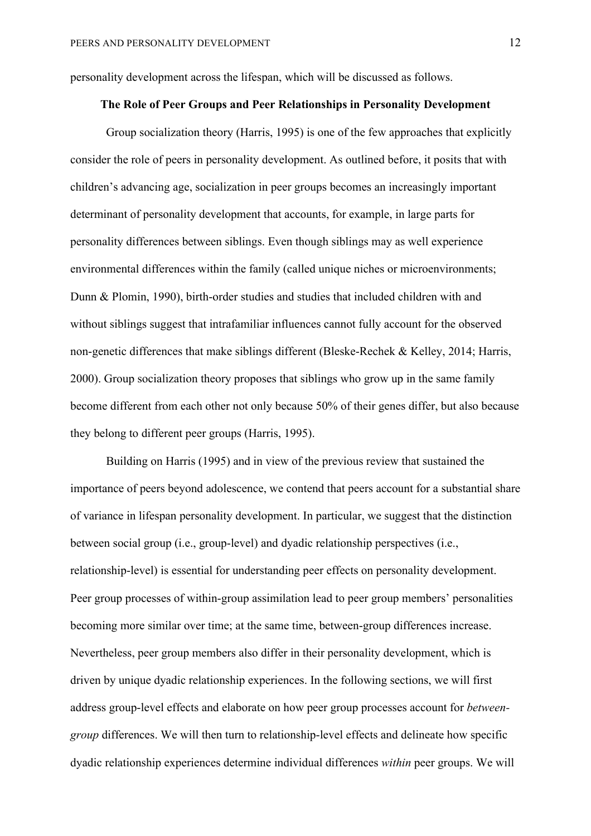personality development across the lifespan, which will be discussed as follows.

### **The Role of Peer Groups and Peer Relationships in Personality Development**

Group socialization theory (Harris, 1995) is one of the few approaches that explicitly consider the role of peers in personality development. As outlined before, it posits that with children's advancing age, socialization in peer groups becomes an increasingly important determinant of personality development that accounts, for example, in large parts for personality differences between siblings. Even though siblings may as well experience environmental differences within the family (called unique niches or microenvironments; Dunn & Plomin, 1990), birth-order studies and studies that included children with and without siblings suggest that intrafamiliar influences cannot fully account for the observed non-genetic differences that make siblings different (Bleske-Rechek & Kelley, 2014; Harris, 2000). Group socialization theory proposes that siblings who grow up in the same family become different from each other not only because 50% of their genes differ, but also because they belong to different peer groups (Harris, 1995).

Building on Harris (1995) and in view of the previous review that sustained the importance of peers beyond adolescence, we contend that peers account for a substantial share of variance in lifespan personality development. In particular, we suggest that the distinction between social group (i.e., group-level) and dyadic relationship perspectives (i.e., relationship-level) is essential for understanding peer effects on personality development. Peer group processes of within-group assimilation lead to peer group members' personalities becoming more similar over time; at the same time, between-group differences increase. Nevertheless, peer group members also differ in their personality development, which is driven by unique dyadic relationship experiences. In the following sections, we will first address group-level effects and elaborate on how peer group processes account for *betweengroup* differences. We will then turn to relationship-level effects and delineate how specific dyadic relationship experiences determine individual differences *within* peer groups. We will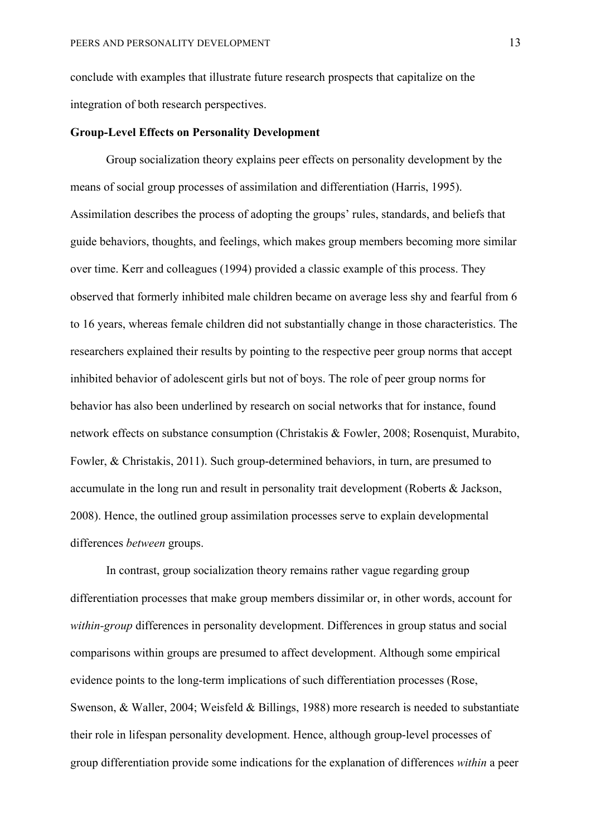conclude with examples that illustrate future research prospects that capitalize on the integration of both research perspectives.

#### **Group-Level Effects on Personality Development**

Group socialization theory explains peer effects on personality development by the means of social group processes of assimilation and differentiation (Harris, 1995). Assimilation describes the process of adopting the groups' rules, standards, and beliefs that guide behaviors, thoughts, and feelings, which makes group members becoming more similar over time. Kerr and colleagues (1994) provided a classic example of this process. They observed that formerly inhibited male children became on average less shy and fearful from 6 to 16 years, whereas female children did not substantially change in those characteristics. The researchers explained their results by pointing to the respective peer group norms that accept inhibited behavior of adolescent girls but not of boys. The role of peer group norms for behavior has also been underlined by research on social networks that for instance, found network effects on substance consumption (Christakis & Fowler, 2008; Rosenquist, Murabito, Fowler, & Christakis, 2011). Such group-determined behaviors, in turn, are presumed to accumulate in the long run and result in personality trait development (Roberts & Jackson, 2008). Hence, the outlined group assimilation processes serve to explain developmental differences *between* groups.

In contrast, group socialization theory remains rather vague regarding group differentiation processes that make group members dissimilar or, in other words, account for *within-group* differences in personality development. Differences in group status and social comparisons within groups are presumed to affect development. Although some empirical evidence points to the long-term implications of such differentiation processes (Rose, Swenson, & Waller, 2004; Weisfeld & Billings, 1988) more research is needed to substantiate their role in lifespan personality development. Hence, although group-level processes of group differentiation provide some indications for the explanation of differences *within* a peer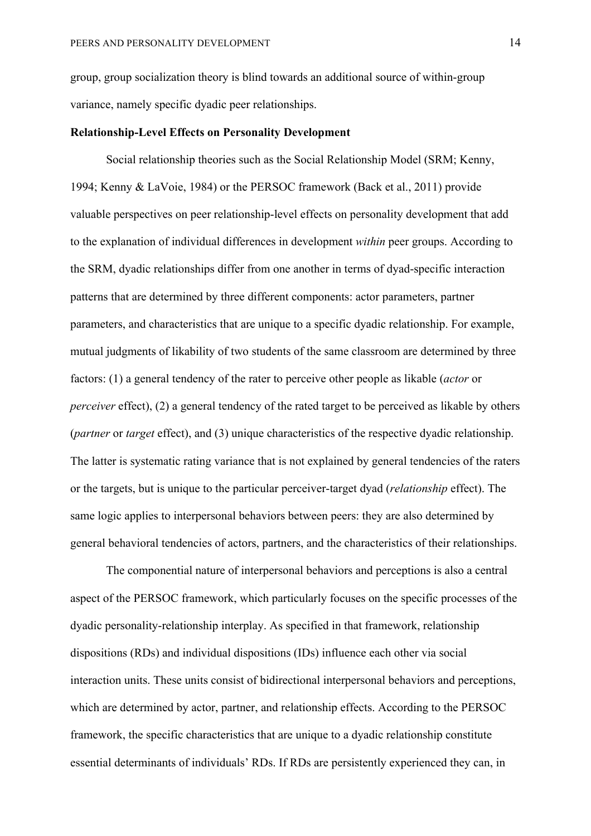group, group socialization theory is blind towards an additional source of within-group variance, namely specific dyadic peer relationships.

## **Relationship-Level Effects on Personality Development**

Social relationship theories such as the Social Relationship Model (SRM; Kenny, 1994; Kenny & LaVoie, 1984) or the PERSOC framework (Back et al., 2011) provide valuable perspectives on peer relationship-level effects on personality development that add to the explanation of individual differences in development *within* peer groups. According to the SRM, dyadic relationships differ from one another in terms of dyad-specific interaction patterns that are determined by three different components: actor parameters, partner parameters, and characteristics that are unique to a specific dyadic relationship. For example, mutual judgments of likability of two students of the same classroom are determined by three factors: (1) a general tendency of the rater to perceive other people as likable (*actor* or *perceiver* effect), (2) a general tendency of the rated target to be perceived as likable by others (*partner* or *target* effect), and (3) unique characteristics of the respective dyadic relationship. The latter is systematic rating variance that is not explained by general tendencies of the raters or the targets, but is unique to the particular perceiver-target dyad (*relationship* effect). The same logic applies to interpersonal behaviors between peers: they are also determined by general behavioral tendencies of actors, partners, and the characteristics of their relationships.

The componential nature of interpersonal behaviors and perceptions is also a central aspect of the PERSOC framework, which particularly focuses on the specific processes of the dyadic personality-relationship interplay. As specified in that framework, relationship dispositions (RDs) and individual dispositions (IDs) influence each other via social interaction units. These units consist of bidirectional interpersonal behaviors and perceptions, which are determined by actor, partner, and relationship effects. According to the PERSOC framework, the specific characteristics that are unique to a dyadic relationship constitute essential determinants of individuals' RDs. If RDs are persistently experienced they can, in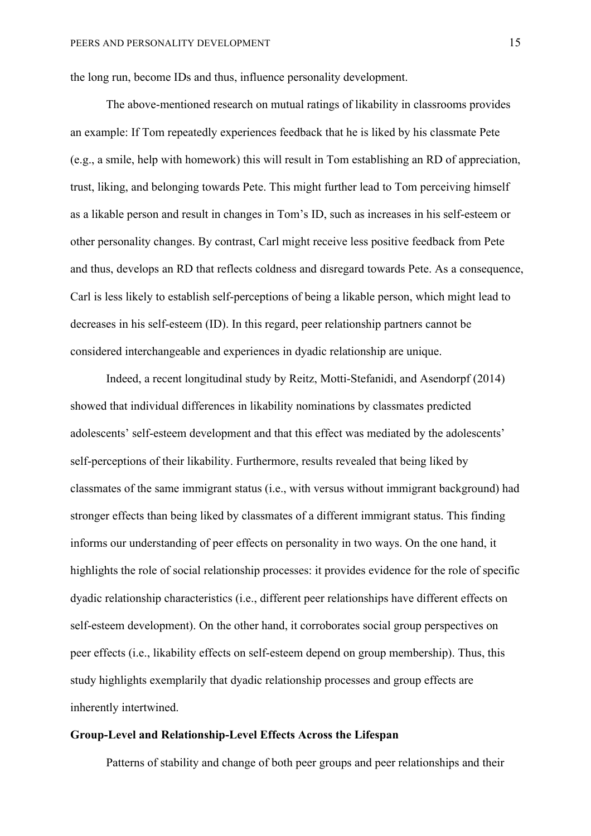the long run, become IDs and thus, influence personality development.

The above-mentioned research on mutual ratings of likability in classrooms provides an example: If Tom repeatedly experiences feedback that he is liked by his classmate Pete (e.g., a smile, help with homework) this will result in Tom establishing an RD of appreciation, trust, liking, and belonging towards Pete. This might further lead to Tom perceiving himself as a likable person and result in changes in Tom's ID, such as increases in his self-esteem or other personality changes. By contrast, Carl might receive less positive feedback from Pete and thus, develops an RD that reflects coldness and disregard towards Pete. As a consequence, Carl is less likely to establish self-perceptions of being a likable person, which might lead to decreases in his self-esteem (ID). In this regard, peer relationship partners cannot be considered interchangeable and experiences in dyadic relationship are unique.

Indeed, a recent longitudinal study by Reitz, Motti-Stefanidi, and Asendorpf (2014) showed that individual differences in likability nominations by classmates predicted adolescents' self-esteem development and that this effect was mediated by the adolescents' self-perceptions of their likability. Furthermore, results revealed that being liked by classmates of the same immigrant status (i.e., with versus without immigrant background) had stronger effects than being liked by classmates of a different immigrant status. This finding informs our understanding of peer effects on personality in two ways. On the one hand, it highlights the role of social relationship processes: it provides evidence for the role of specific dyadic relationship characteristics (i.e., different peer relationships have different effects on self-esteem development). On the other hand, it corroborates social group perspectives on peer effects (i.e., likability effects on self-esteem depend on group membership). Thus, this study highlights exemplarily that dyadic relationship processes and group effects are inherently intertwined.

# **Group-Level and Relationship-Level Effects Across the Lifespan**

Patterns of stability and change of both peer groups and peer relationships and their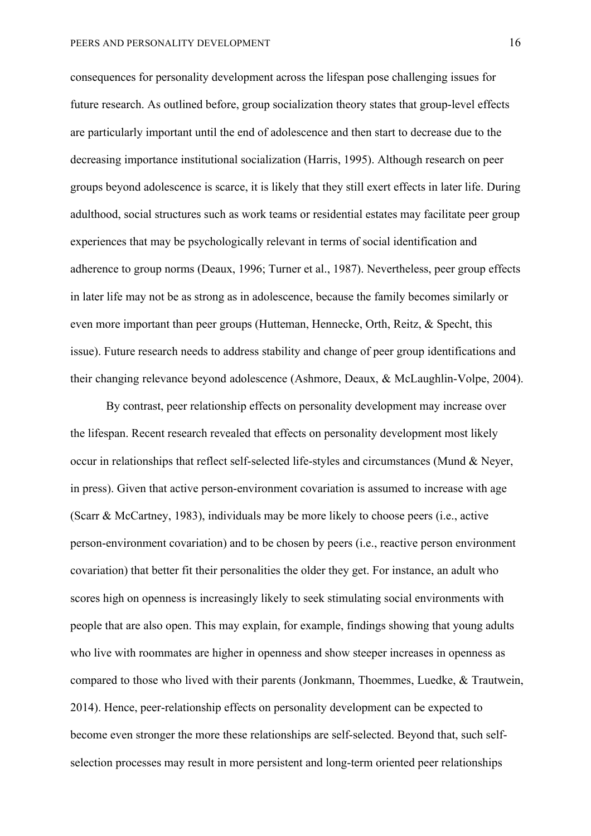consequences for personality development across the lifespan pose challenging issues for future research. As outlined before, group socialization theory states that group-level effects are particularly important until the end of adolescence and then start to decrease due to the decreasing importance institutional socialization (Harris, 1995). Although research on peer groups beyond adolescence is scarce, it is likely that they still exert effects in later life. During adulthood, social structures such as work teams or residential estates may facilitate peer group experiences that may be psychologically relevant in terms of social identification and adherence to group norms (Deaux, 1996; Turner et al., 1987). Nevertheless, peer group effects in later life may not be as strong as in adolescence, because the family becomes similarly or even more important than peer groups (Hutteman, Hennecke, Orth, Reitz, & Specht, this issue). Future research needs to address stability and change of peer group identifications and their changing relevance beyond adolescence (Ashmore, Deaux, & McLaughlin-Volpe, 2004).

By contrast, peer relationship effects on personality development may increase over the lifespan. Recent research revealed that effects on personality development most likely occur in relationships that reflect self-selected life-styles and circumstances (Mund & Neyer, in press). Given that active person-environment covariation is assumed to increase with age (Scarr & McCartney, 1983), individuals may be more likely to choose peers (i.e., active person-environment covariation) and to be chosen by peers (i.e., reactive person environment covariation) that better fit their personalities the older they get. For instance, an adult who scores high on openness is increasingly likely to seek stimulating social environments with people that are also open. This may explain, for example, findings showing that young adults who live with roommates are higher in openness and show steeper increases in openness as compared to those who lived with their parents (Jonkmann, Thoemmes, Luedke, & Trautwein, 2014). Hence, peer-relationship effects on personality development can be expected to become even stronger the more these relationships are self-selected. Beyond that, such selfselection processes may result in more persistent and long-term oriented peer relationships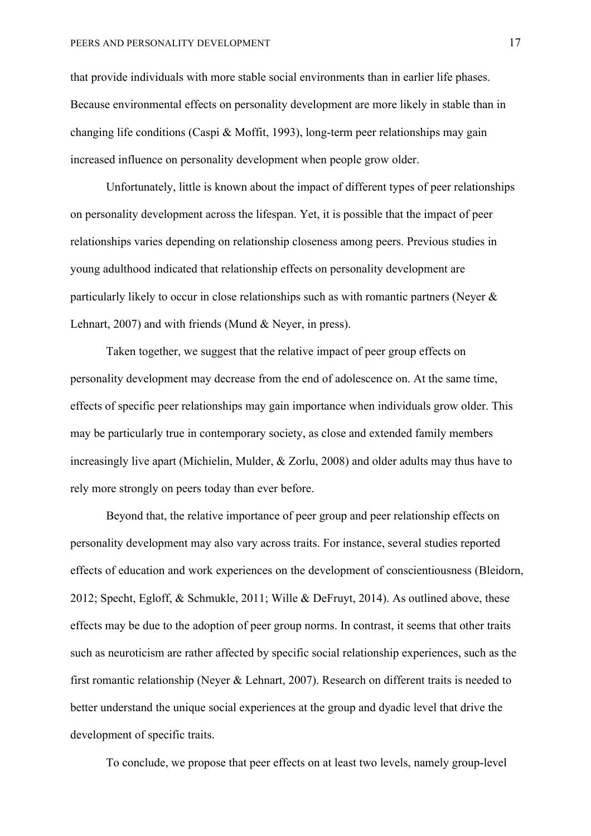that provide individuals with more stable social environments than in earlier life phases. Because environmental effects on personality development are more likely in stable than in changing life conditions (Caspi & Moffit, 1993), long-term peer relationships may gain increased influence on personality development when people grow older.

Unfortunately, little is known about the impact of different types of peer relationships on personality development across the lifespan. Yet, it is possible that the impact of peer relationships varies depending on relationship closeness among peers. Previous studies in young adulthood indicated that relationship effects on personality development are particularly likely to occur in close relationships such as with romantic partners (Neyer & Lehnart, 2007) and with friends (Mund & Neyer, in press).

Taken together, we suggest that the relative impact of peer group effects on personality development may decrease from the end of adolescence on. At the same time, effects of specific peer relationships may gain importance when individuals grow older. This may be particularly true in contemporary society, as close and extended family members increasingly live apart (Michielin, Mulder, & Zorlu, 2008) and older adults may thus have to rely more strongly on peers today than ever before.

Beyond that, the relative importance of peer group and peer relationship effects on personality development may also vary across traits. For instance, several studies reported effects of education and work experiences on the development of conscientiousness (Bleidorn, 2012; Specht, Egloff, & Schmukle, 2011; Wille & DeFruyt, 2014). As outlined above, these effects may be due to the adoption of peer group norms. In contrast, it seems that other traits such as neuroticism are rather affected by specific social relationship experiences, such as the first romantic relationship (Neyer & Lehnart, 2007). Research on different traits is needed to better understand the unique social experiences at the group and dyadic level that drive the development of specific traits.

To conclude, we propose that peer effects on at least two levels, namely group-level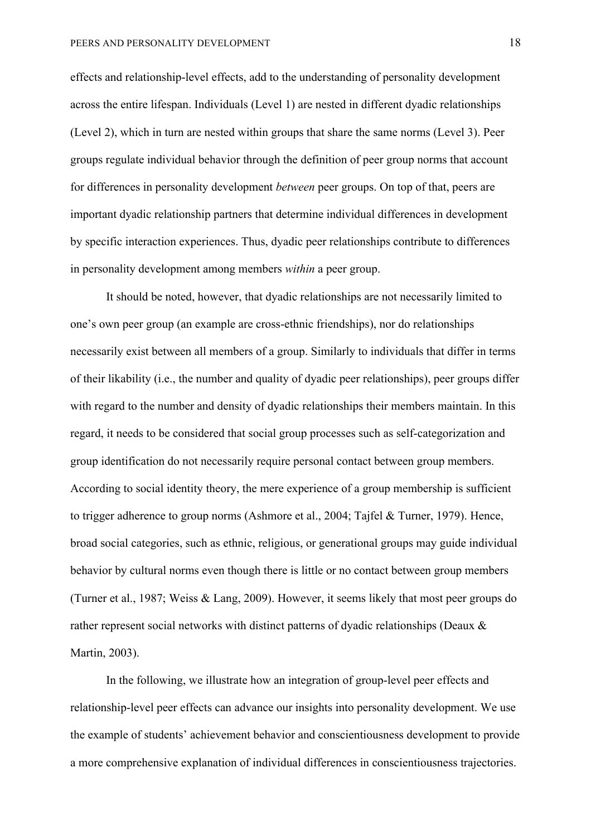effects and relationship-level effects, add to the understanding of personality development across the entire lifespan. Individuals (Level 1) are nested in different dyadic relationships (Level 2), which in turn are nested within groups that share the same norms (Level 3). Peer groups regulate individual behavior through the definition of peer group norms that account for differences in personality development *between* peer groups. On top of that, peers are important dyadic relationship partners that determine individual differences in development by specific interaction experiences. Thus, dyadic peer relationships contribute to differences in personality development among members *within* a peer group.

It should be noted, however, that dyadic relationships are not necessarily limited to one's own peer group (an example are cross-ethnic friendships), nor do relationships necessarily exist between all members of a group. Similarly to individuals that differ in terms of their likability (i.e., the number and quality of dyadic peer relationships), peer groups differ with regard to the number and density of dyadic relationships their members maintain. In this regard, it needs to be considered that social group processes such as self-categorization and group identification do not necessarily require personal contact between group members. According to social identity theory, the mere experience of a group membership is sufficient to trigger adherence to group norms (Ashmore et al., 2004; Tajfel & Turner, 1979). Hence, broad social categories, such as ethnic, religious, or generational groups may guide individual behavior by cultural norms even though there is little or no contact between group members (Turner et al., 1987; Weiss & Lang, 2009). However, it seems likely that most peer groups do rather represent social networks with distinct patterns of dyadic relationships (Deaux & Martin, 2003).

In the following, we illustrate how an integration of group-level peer effects and relationship-level peer effects can advance our insights into personality development. We use the example of students' achievement behavior and conscientiousness development to provide a more comprehensive explanation of individual differences in conscientiousness trajectories.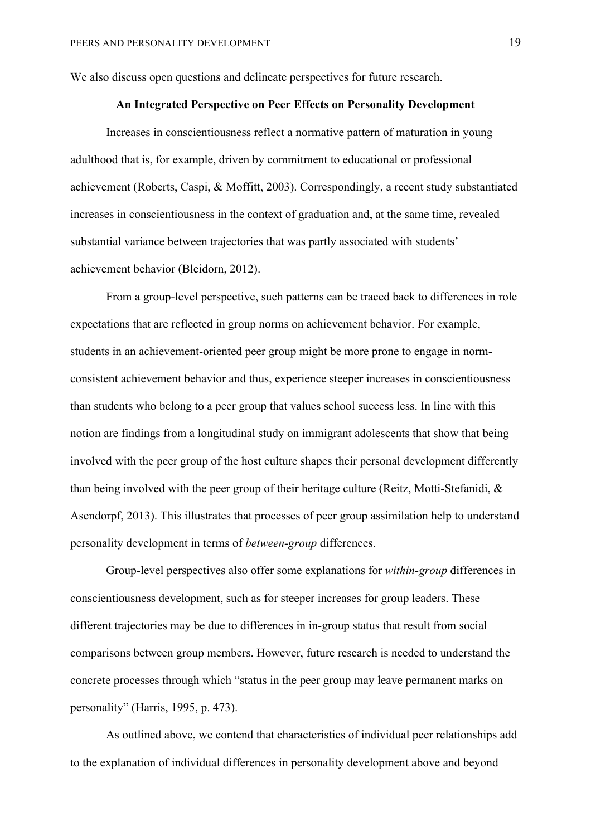We also discuss open questions and delineate perspectives for future research.

# **An Integrated Perspective on Peer Effects on Personality Development**

Increases in conscientiousness reflect a normative pattern of maturation in young adulthood that is, for example, driven by commitment to educational or professional achievement (Roberts, Caspi, & Moffitt, 2003). Correspondingly, a recent study substantiated increases in conscientiousness in the context of graduation and, at the same time, revealed substantial variance between trajectories that was partly associated with students' achievement behavior (Bleidorn, 2012).

From a group-level perspective, such patterns can be traced back to differences in role expectations that are reflected in group norms on achievement behavior. For example, students in an achievement-oriented peer group might be more prone to engage in normconsistent achievement behavior and thus, experience steeper increases in conscientiousness than students who belong to a peer group that values school success less. In line with this notion are findings from a longitudinal study on immigrant adolescents that show that being involved with the peer group of the host culture shapes their personal development differently than being involved with the peer group of their heritage culture (Reitz, Motti-Stefanidi, & Asendorpf, 2013). This illustrates that processes of peer group assimilation help to understand personality development in terms of *between-group* differences.

Group-level perspectives also offer some explanations for *within-group* differences in conscientiousness development, such as for steeper increases for group leaders. These different trajectories may be due to differences in in-group status that result from social comparisons between group members. However, future research is needed to understand the concrete processes through which "status in the peer group may leave permanent marks on personality" (Harris, 1995, p. 473).

As outlined above, we contend that characteristics of individual peer relationships add to the explanation of individual differences in personality development above and beyond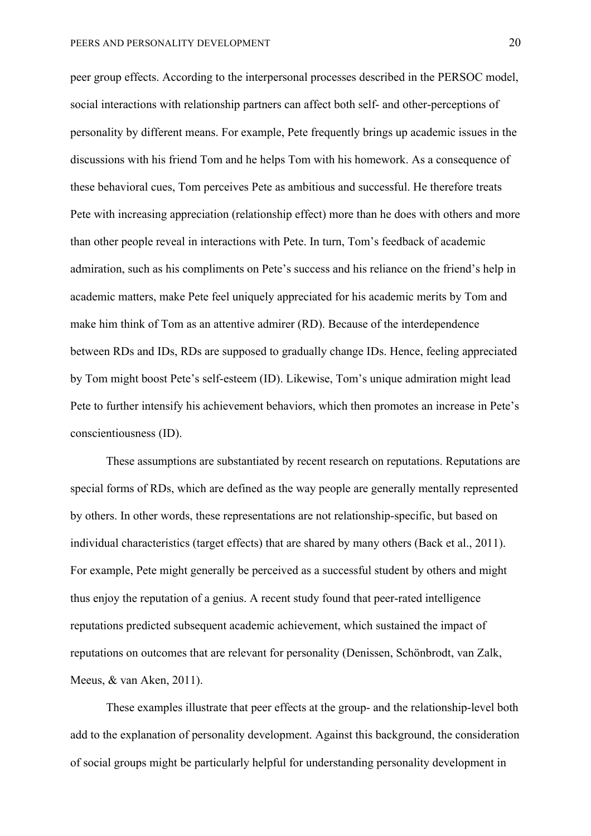peer group effects. According to the interpersonal processes described in the PERSOC model, social interactions with relationship partners can affect both self- and other-perceptions of personality by different means. For example, Pete frequently brings up academic issues in the discussions with his friend Tom and he helps Tom with his homework. As a consequence of these behavioral cues, Tom perceives Pete as ambitious and successful. He therefore treats Pete with increasing appreciation (relationship effect) more than he does with others and more than other people reveal in interactions with Pete. In turn, Tom's feedback of academic admiration, such as his compliments on Pete's success and his reliance on the friend's help in academic matters, make Pete feel uniquely appreciated for his academic merits by Tom and make him think of Tom as an attentive admirer (RD). Because of the interdependence between RDs and IDs, RDs are supposed to gradually change IDs. Hence, feeling appreciated by Tom might boost Pete's self-esteem (ID). Likewise, Tom's unique admiration might lead Pete to further intensify his achievement behaviors, which then promotes an increase in Pete's conscientiousness (ID).

These assumptions are substantiated by recent research on reputations. Reputations are special forms of RDs, which are defined as the way people are generally mentally represented by others. In other words, these representations are not relationship-specific, but based on individual characteristics (target effects) that are shared by many others (Back et al., 2011). For example, Pete might generally be perceived as a successful student by others and might thus enjoy the reputation of a genius. A recent study found that peer-rated intelligence reputations predicted subsequent academic achievement, which sustained the impact of reputations on outcomes that are relevant for personality (Denissen, Schönbrodt, van Zalk, Meeus, & van Aken, 2011).

These examples illustrate that peer effects at the group- and the relationship-level both add to the explanation of personality development. Against this background, the consideration of social groups might be particularly helpful for understanding personality development in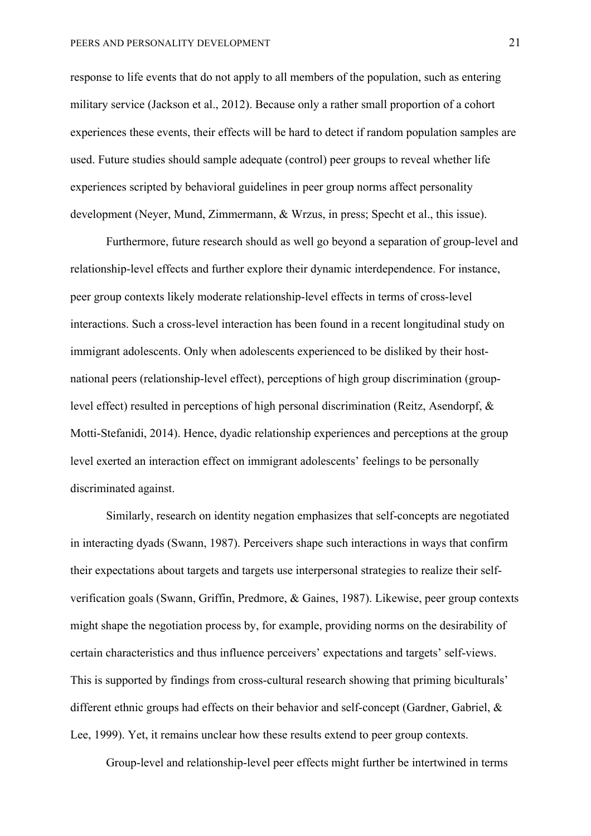response to life events that do not apply to all members of the population, such as entering military service (Jackson et al., 2012). Because only a rather small proportion of a cohort experiences these events, their effects will be hard to detect if random population samples are used. Future studies should sample adequate (control) peer groups to reveal whether life experiences scripted by behavioral guidelines in peer group norms affect personality development (Neyer, Mund, Zimmermann, & Wrzus, in press; Specht et al., this issue).

Furthermore, future research should as well go beyond a separation of group-level and relationship-level effects and further explore their dynamic interdependence. For instance, peer group contexts likely moderate relationship-level effects in terms of cross-level interactions. Such a cross-level interaction has been found in a recent longitudinal study on immigrant adolescents. Only when adolescents experienced to be disliked by their hostnational peers (relationship-level effect), perceptions of high group discrimination (grouplevel effect) resulted in perceptions of high personal discrimination (Reitz, Asendorpf, & Motti-Stefanidi, 2014). Hence, dyadic relationship experiences and perceptions at the group level exerted an interaction effect on immigrant adolescents' feelings to be personally discriminated against.

Similarly, research on identity negation emphasizes that self-concepts are negotiated in interacting dyads (Swann, 1987). Perceivers shape such interactions in ways that confirm their expectations about targets and targets use interpersonal strategies to realize their selfverification goals (Swann, Griffin, Predmore, & Gaines, 1987). Likewise, peer group contexts might shape the negotiation process by, for example, providing norms on the desirability of certain characteristics and thus influence perceivers' expectations and targets' self-views. This is supported by findings from cross-cultural research showing that priming biculturals' different ethnic groups had effects on their behavior and self-concept (Gardner, Gabriel, & Lee, 1999). Yet, it remains unclear how these results extend to peer group contexts.

Group-level and relationship-level peer effects might further be intertwined in terms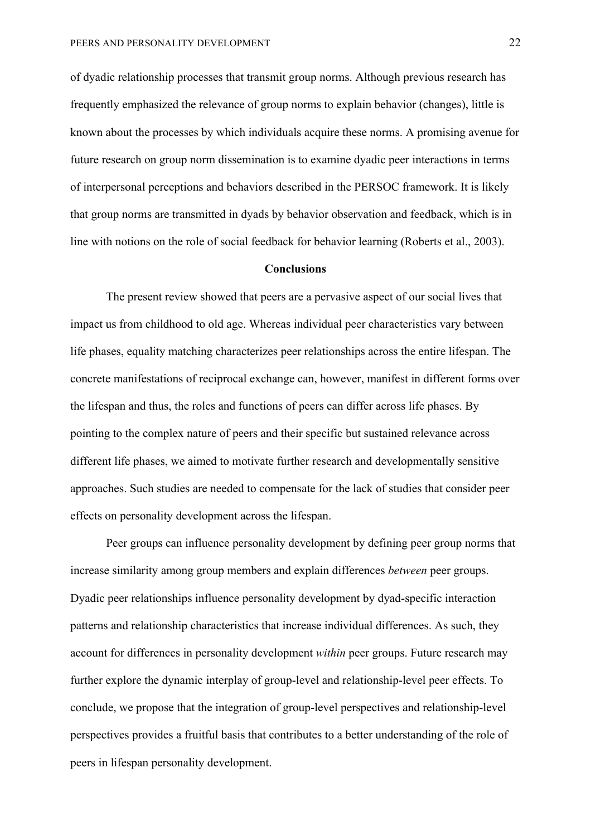of dyadic relationship processes that transmit group norms. Although previous research has frequently emphasized the relevance of group norms to explain behavior (changes), little is known about the processes by which individuals acquire these norms. A promising avenue for future research on group norm dissemination is to examine dyadic peer interactions in terms of interpersonal perceptions and behaviors described in the PERSOC framework. It is likely that group norms are transmitted in dyads by behavior observation and feedback, which is in line with notions on the role of social feedback for behavior learning (Roberts et al., 2003).

#### **Conclusions**

The present review showed that peers are a pervasive aspect of our social lives that impact us from childhood to old age. Whereas individual peer characteristics vary between life phases, equality matching characterizes peer relationships across the entire lifespan. The concrete manifestations of reciprocal exchange can, however, manifest in different forms over the lifespan and thus, the roles and functions of peers can differ across life phases. By pointing to the complex nature of peers and their specific but sustained relevance across different life phases, we aimed to motivate further research and developmentally sensitive approaches. Such studies are needed to compensate for the lack of studies that consider peer effects on personality development across the lifespan.

Peer groups can influence personality development by defining peer group norms that increase similarity among group members and explain differences *between* peer groups. Dyadic peer relationships influence personality development by dyad-specific interaction patterns and relationship characteristics that increase individual differences. As such, they account for differences in personality development *within* peer groups. Future research may further explore the dynamic interplay of group-level and relationship-level peer effects. To conclude, we propose that the integration of group-level perspectives and relationship-level perspectives provides a fruitful basis that contributes to a better understanding of the role of peers in lifespan personality development.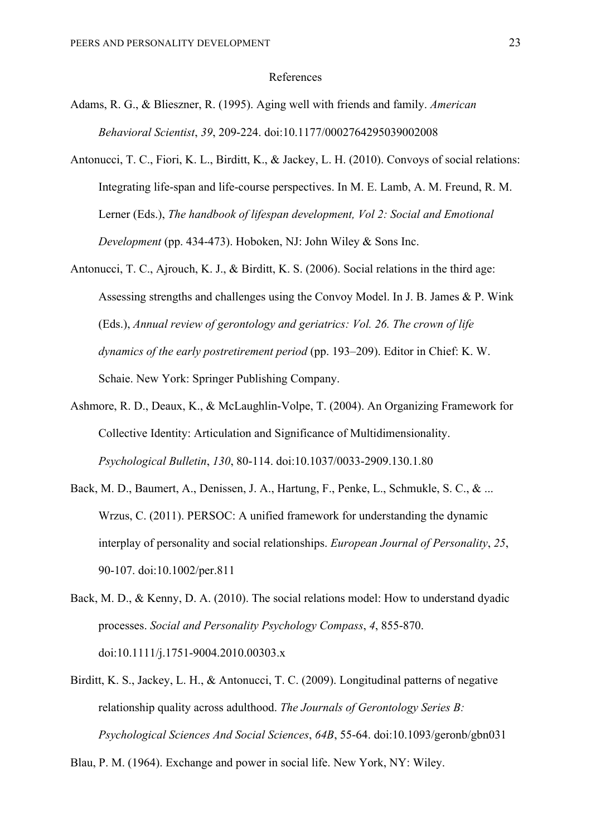#### References

- Adams, R. G., & Blieszner, R. (1995). Aging well with friends and family. *American Behavioral Scientist*, *39*, 209-224. doi:10.1177/0002764295039002008
- Antonucci, T. C., Fiori, K. L., Birditt, K., & Jackey, L. H. (2010). Convoys of social relations: Integrating life-span and life-course perspectives. In M. E. Lamb, A. M. Freund, R. M. Lerner (Eds.), *The handbook of lifespan development, Vol 2: Social and Emotional Development* (pp. 434-473). Hoboken, NJ: John Wiley & Sons Inc.
- Antonucci, T. C., Ajrouch, K. J., & Birditt, K. S. (2006). Social relations in the third age: Assessing strengths and challenges using the Convoy Model. In J. B. James & P. Wink (Eds.), *Annual review of gerontology and geriatrics: Vol. 26. The crown of life dynamics of the early postretirement period* (pp. 193–209). Editor in Chief: K. W. Schaie. New York: Springer Publishing Company.
- Ashmore, R. D., Deaux, K., & McLaughlin-Volpe, T. (2004). An Organizing Framework for Collective Identity: Articulation and Significance of Multidimensionality. *Psychological Bulletin*, *130*, 80-114. doi:10.1037/0033-2909.130.1.80
- Back, M. D., Baumert, A., Denissen, J. A., Hartung, F., Penke, L., Schmukle, S. C., & ... Wrzus, C. (2011). PERSOC: A unified framework for understanding the dynamic interplay of personality and social relationships. *European Journal of Personality*, *25*, 90-107. doi:10.1002/per.811
- Back, M. D., & Kenny, D. A. (2010). The social relations model: How to understand dyadic processes. *Social and Personality Psychology Compass*, *4*, 855-870. doi:10.1111/j.1751-9004.2010.00303.x
- Birditt, K. S., Jackey, L. H., & Antonucci, T. C. (2009). Longitudinal patterns of negative relationship quality across adulthood. *The Journals of Gerontology Series B: Psychological Sciences And Social Sciences*, *64B*, 55-64. doi:10.1093/geronb/gbn031

Blau, P. M. (1964). Exchange and power in social life. New York, NY: Wiley.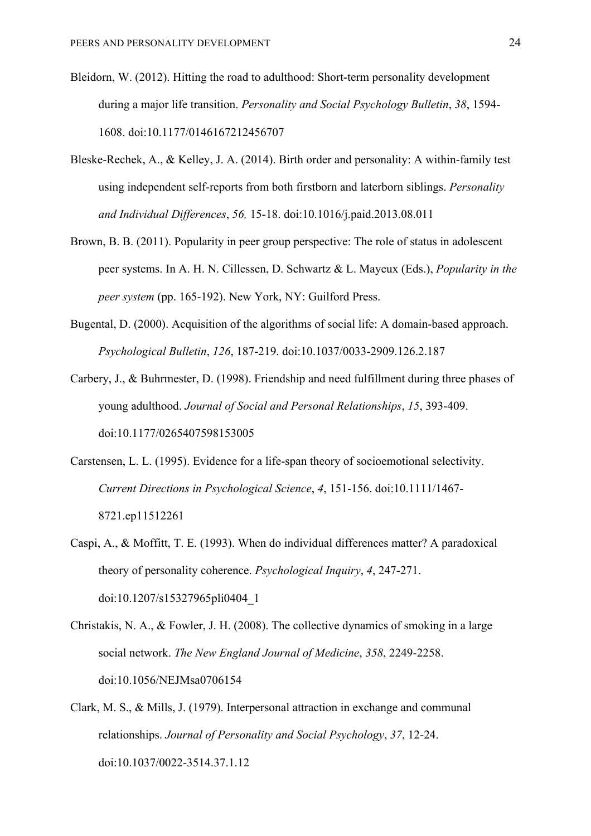- Bleidorn, W. (2012). Hitting the road to adulthood: Short-term personality development during a major life transition. *Personality and Social Psychology Bulletin*, *38*, 1594- 1608. doi:10.1177/0146167212456707
- Bleske-Rechek, A., & Kelley, J. A. (2014). Birth order and personality: A within-family test using independent self-reports from both firstborn and laterborn siblings. *Personality and Individual Differences*, *56,* 15-18. doi:10.1016/j.paid.2013.08.011
- Brown, B. B. (2011). Popularity in peer group perspective: The role of status in adolescent peer systems. In A. H. N. Cillessen, D. Schwartz & L. Mayeux (Eds.), *Popularity in the peer system* (pp. 165-192). New York, NY: Guilford Press.
- Bugental, D. (2000). Acquisition of the algorithms of social life: A domain-based approach. *Psychological Bulletin*, *126*, 187-219. doi:10.1037/0033-2909.126.2.187
- Carbery, J., & Buhrmester, D. (1998). Friendship and need fulfillment during three phases of young adulthood. *Journal of Social and Personal Relationships*, *15*, 393-409. doi:10.1177/0265407598153005
- Carstensen, L. L. (1995). Evidence for a life-span theory of socioemotional selectivity. *Current Directions in Psychological Science*, *4*, 151-156. doi:10.1111/1467- 8721.ep11512261
- Caspi, A., & Moffitt, T. E. (1993). When do individual differences matter? A paradoxical theory of personality coherence. *Psychological Inquiry*, *4*, 247-271. doi:10.1207/s15327965pli0404\_1
- Christakis, N. A., & Fowler, J. H. (2008). The collective dynamics of smoking in a large social network. *The New England Journal of Medicine*, *358*, 2249-2258. doi:10.1056/NEJMsa0706154
- Clark, M. S., & Mills, J. (1979). Interpersonal attraction in exchange and communal relationships. *Journal of Personality and Social Psychology*, *37*, 12-24. doi:10.1037/0022-3514.37.1.12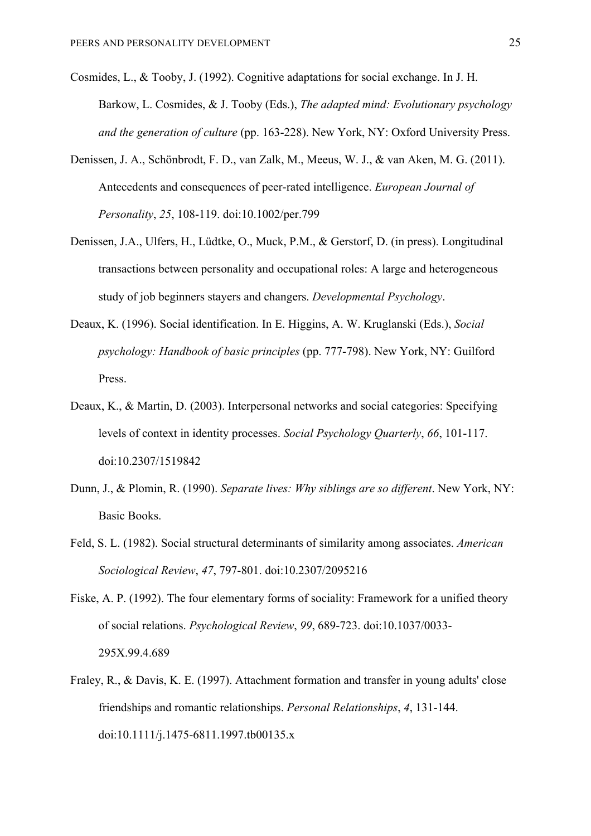- Cosmides, L., & Tooby, J. (1992). Cognitive adaptations for social exchange. In J. H. Barkow, L. Cosmides, & J. Tooby (Eds.), *The adapted mind: Evolutionary psychology and the generation of culture* (pp. 163-228). New York, NY: Oxford University Press.
- Denissen, J. A., Schönbrodt, F. D., van Zalk, M., Meeus, W. J., & van Aken, M. G. (2011). Antecedents and consequences of peer-rated intelligence. *European Journal of Personality*, *25*, 108-119. doi:10.1002/per.799
- Denissen, J.A., Ulfers, H., Lüdtke, O., Muck, P.M., & Gerstorf, D. (in press). Longitudinal transactions between personality and occupational roles: A large and heterogeneous study of job beginners stayers and changers. *Developmental Psychology*.
- Deaux, K. (1996). Social identification. In E. Higgins, A. W. Kruglanski (Eds.), *Social psychology: Handbook of basic principles* (pp. 777-798). New York, NY: Guilford Press.
- Deaux, K., & Martin, D. (2003). Interpersonal networks and social categories: Specifying levels of context in identity processes. *Social Psychology Quarterly*, *66*, 101-117. doi:10.2307/1519842
- Dunn, J., & Plomin, R. (1990). *Separate lives: Why siblings are so different*. New York, NY: Basic Books.
- Feld, S. L. (1982). Social structural determinants of similarity among associates. *American Sociological Review*, *47*, 797-801. doi:10.2307/2095216
- Fiske, A. P. (1992). The four elementary forms of sociality: Framework for a unified theory of social relations. *Psychological Review*, *99*, 689-723. doi:10.1037/0033- 295X.99.4.689
- Fraley, R., & Davis, K. E. (1997). Attachment formation and transfer in young adults' close friendships and romantic relationships. *Personal Relationships*, *4*, 131-144. doi:10.1111/j.1475-6811.1997.tb00135.x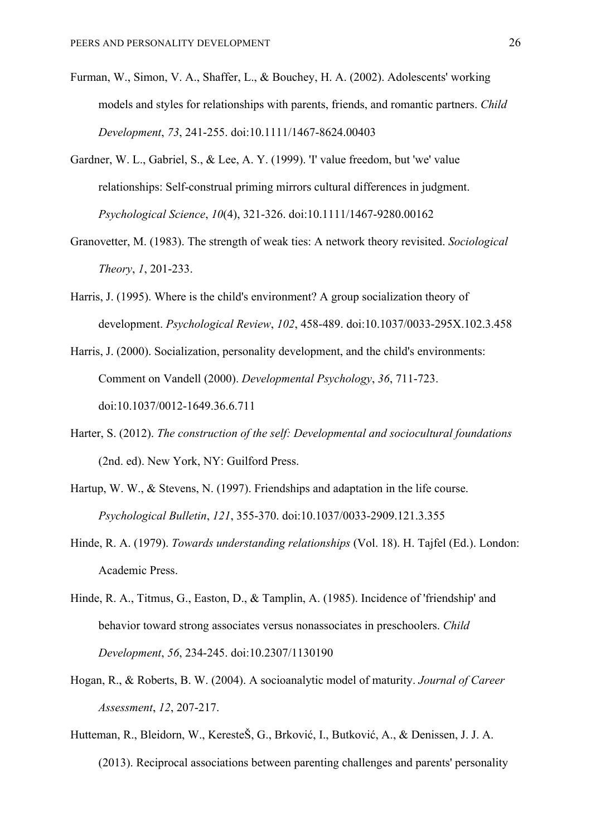- Furman, W., Simon, V. A., Shaffer, L., & Bouchey, H. A. (2002). Adolescents' working models and styles for relationships with parents, friends, and romantic partners. *Child Development*, *73*, 241-255. doi:10.1111/1467-8624.00403
- Gardner, W. L., Gabriel, S., & Lee, A. Y. (1999). 'I' value freedom, but 'we' value relationships: Self-construal priming mirrors cultural differences in judgment. *Psychological Science*, *10*(4), 321-326. doi:10.1111/1467-9280.00162
- Granovetter, M. (1983). The strength of weak ties: A network theory revisited. *Sociological Theory*, *1*, 201-233.
- Harris, J. (1995). Where is the child's environment? A group socialization theory of development. *Psychological Review*, *102*, 458-489. doi:10.1037/0033-295X.102.3.458
- Harris, J. (2000). Socialization, personality development, and the child's environments: Comment on Vandell (2000). *Developmental Psychology*, *36*, 711-723. doi:10.1037/0012-1649.36.6.711
- Harter, S. (2012). *The construction of the self: Developmental and sociocultural foundations*  (2nd. ed). New York, NY: Guilford Press.
- Hartup, W. W., & Stevens, N. (1997). Friendships and adaptation in the life course. *Psychological Bulletin*, *121*, 355-370. doi:10.1037/0033-2909.121.3.355
- Hinde, R. A. (1979). *Towards understanding relationships* (Vol. 18). H. Tajfel (Ed.). London: Academic Press.
- Hinde, R. A., Titmus, G., Easton, D., & Tamplin, A. (1985). Incidence of 'friendship' and behavior toward strong associates versus nonassociates in preschoolers. *Child Development*, *56*, 234-245. doi:10.2307/1130190
- Hogan, R., & Roberts, B. W. (2004). A socioanalytic model of maturity. *Journal of Career Assessment*, *12*, 207-217.
- Hutteman, R., Bleidorn, W., KeresteŠ, G., Brković, I., Butković, A., & Denissen, J. J. A. (2013). Reciprocal associations between parenting challenges and parents' personality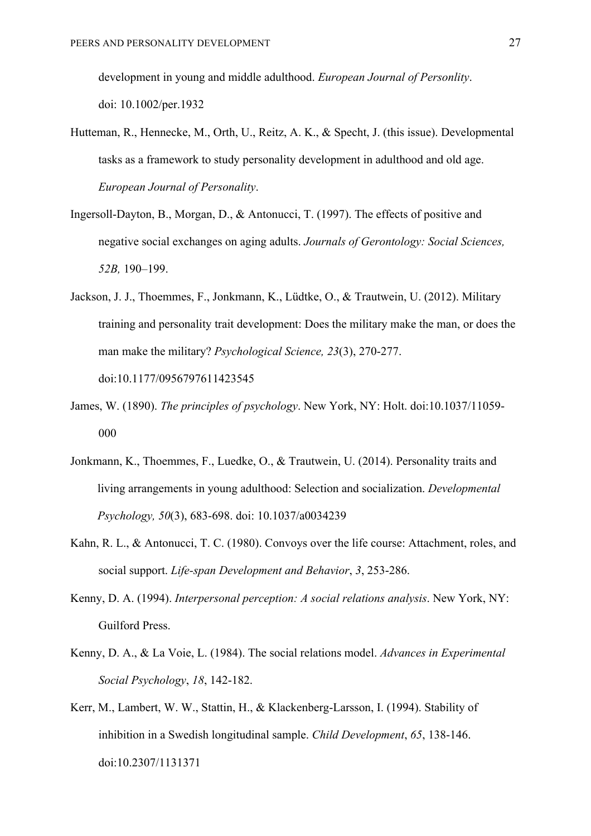development in young and middle adulthood. *European Journal of Personlity*. doi: 10.1002/per.1932

- Hutteman, R., Hennecke, M., Orth, U., Reitz, A. K., & Specht, J. (this issue). Developmental tasks as a framework to study personality development in adulthood and old age. *European Journal of Personality*.
- Ingersoll-Dayton, B., Morgan, D., & Antonucci, T. (1997). The effects of positive and negative social exchanges on aging adults. *Journals of Gerontology: Social Sciences, 52B,* 190–199.
- Jackson, J. J., Thoemmes, F., Jonkmann, K., Lüdtke, O., & Trautwein, U. (2012). Military training and personality trait development: Does the military make the man, or does the man make the military? *Psychological Science, 23*(3), 270-277. doi:10.1177/0956797611423545
- James, W. (1890). *The principles of psychology*. New York, NY: Holt. doi:10.1037/11059- 000
- Jonkmann, K., Thoemmes, F., Luedke, O., & Trautwein, U. (2014). Personality traits and living arrangements in young adulthood: Selection and socialization. *Developmental Psychology, 50*(3), 683-698. doi: 10.1037/a0034239
- Kahn, R. L., & Antonucci, T. C. (1980). Convoys over the life course: Attachment, roles, and social support. *Life-span Development and Behavior*, *3*, 253-286.
- Kenny, D. A. (1994). *Interpersonal perception: A social relations analysis*. New York, NY: Guilford Press.
- Kenny, D. A., & La Voie, L. (1984). The social relations model. *Advances in Experimental Social Psychology*, *18*, 142-182.
- Kerr, M., Lambert, W. W., Stattin, H., & Klackenberg-Larsson, I. (1994). Stability of inhibition in a Swedish longitudinal sample. *Child Development*, *65*, 138-146. doi:10.2307/1131371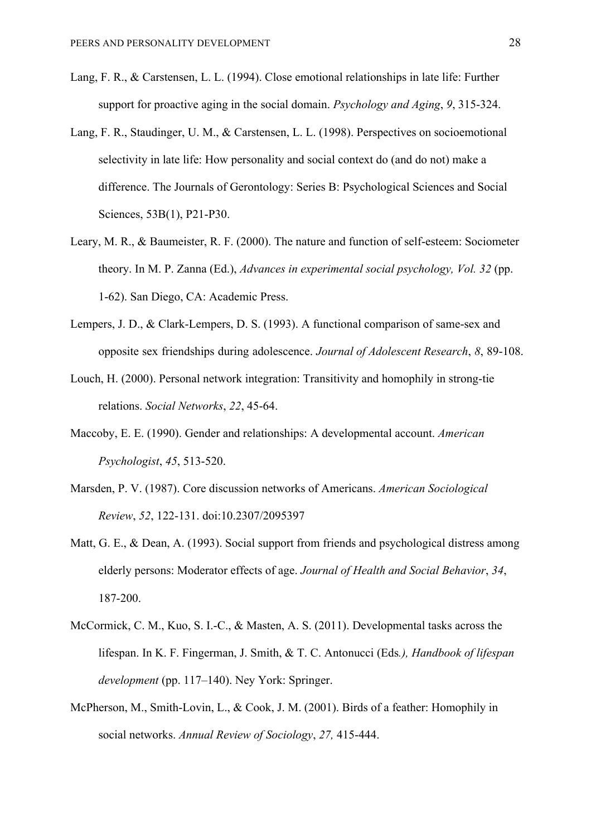- Lang, F. R., & Carstensen, L. L. (1994). Close emotional relationships in late life: Further support for proactive aging in the social domain. *Psychology and Aging*, *9*, 315-324.
- Lang, F. R., Staudinger, U. M., & Carstensen, L. L. (1998). Perspectives on socioemotional selectivity in late life: How personality and social context do (and do not) make a difference. The Journals of Gerontology: Series B: Psychological Sciences and Social Sciences, 53B(1), P21-P30.
- Leary, M. R., & Baumeister, R. F. (2000). The nature and function of self-esteem: Sociometer theory. In M. P. Zanna (Ed.), *Advances in experimental social psychology, Vol. 32* (pp. 1-62). San Diego, CA: Academic Press.
- Lempers, J. D., & Clark-Lempers, D. S. (1993). A functional comparison of same-sex and opposite sex friendships during adolescence. *Journal of Adolescent Research*, *8*, 89-108.
- Louch, H. (2000). Personal network integration: Transitivity and homophily in strong-tie relations. *Social Networks*, *22*, 45-64.
- Maccoby, E. E. (1990). Gender and relationships: A developmental account. *American Psychologist*, *45*, 513-520.
- Marsden, P. V. (1987). Core discussion networks of Americans. *American Sociological Review*, *52*, 122-131. doi:10.2307/2095397
- Matt, G. E., & Dean, A. (1993). Social support from friends and psychological distress among elderly persons: Moderator effects of age. *Journal of Health and Social Behavior*, *34*, 187-200.
- McCormick, C. M., Kuo, S. I.-C., & Masten, A. S. (2011). Developmental tasks across the lifespan. In K. F. Fingerman, J. Smith, & T. C. Antonucci (Eds*.), Handbook of lifespan development* (pp. 117–140). Ney York: Springer.
- McPherson, M., Smith-Lovin, L., & Cook, J. M. (2001). Birds of a feather: Homophily in social networks. *Annual Review of Sociology*, *27,* 415-444.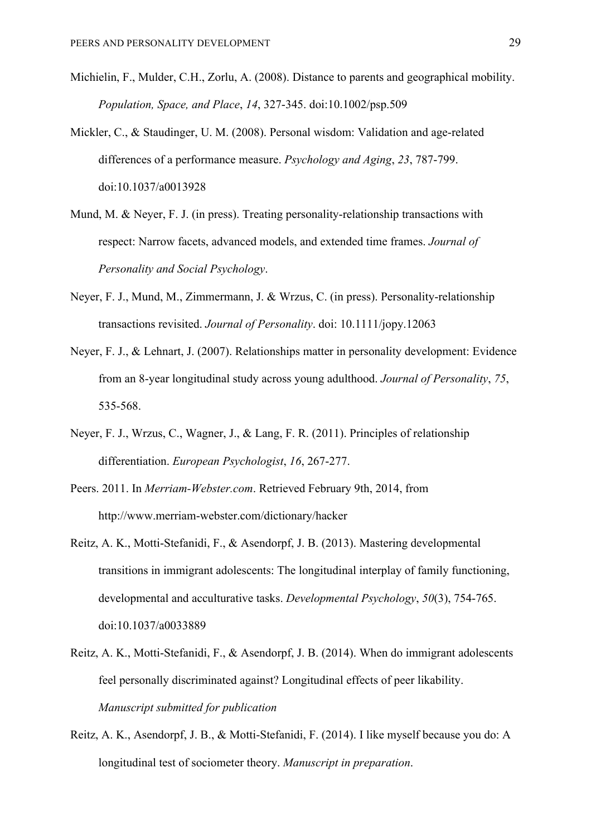- Michielin, F., Mulder, C.H., Zorlu, A. (2008). Distance to parents and geographical mobility. *Population, Space, and Place*, *14*, 327-345. doi:10.1002/psp.509
- Mickler, C., & Staudinger, U. M. (2008). Personal wisdom: Validation and age-related differences of a performance measure. *Psychology and Aging*, *23*, 787-799. doi:10.1037/a0013928
- Mund, M. & Never, F. J. (in press). Treating personality-relationship transactions with respect: Narrow facets, advanced models, and extended time frames. *Journal of Personality and Social Psychology*.
- Neyer, F. J., Mund, M., Zimmermann, J. & Wrzus, C. (in press). Personality-relationship transactions revisited. *Journal of Personality*. doi: 10.1111/jopy.12063
- Neyer, F. J., & Lehnart, J. (2007). Relationships matter in personality development: Evidence from an 8-year longitudinal study across young adulthood. *Journal of Personality*, *75*, 535-568.
- Neyer, F. J., Wrzus, C., Wagner, J., & Lang, F. R. (2011). Principles of relationship differentiation. *European Psychologist*, *16*, 267-277.
- Peers. 2011. In *Merriam-Webster.com*. Retrieved February 9th, 2014, from http://www.merriam-webster.com/dictionary/hacker
- Reitz, A. K., Motti-Stefanidi, F., & Asendorpf, J. B. (2013). Mastering developmental transitions in immigrant adolescents: The longitudinal interplay of family functioning, developmental and acculturative tasks. *Developmental Psychology*, *50*(3), 754-765. doi:10.1037/a0033889
- Reitz, A. K., Motti-Stefanidi, F., & Asendorpf, J. B. (2014). When do immigrant adolescents feel personally discriminated against? Longitudinal effects of peer likability. *Manuscript submitted for publication*
- Reitz, A. K., Asendorpf, J. B., & Motti-Stefanidi, F. (2014). I like myself because you do: A longitudinal test of sociometer theory. *Manuscript in preparation*.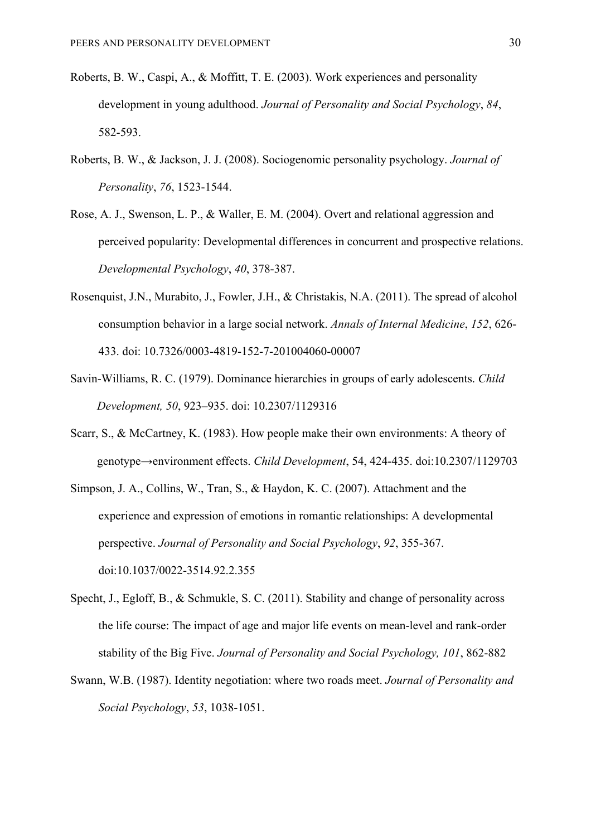- Roberts, B. W., Caspi, A., & Moffitt, T. E. (2003). Work experiences and personality development in young adulthood. *Journal of Personality and Social Psychology*, *84*, 582-593.
- Roberts, B. W., & Jackson, J. J. (2008). Sociogenomic personality psychology. *Journal of Personality*, *76*, 1523-1544.
- Rose, A. J., Swenson, L. P., & Waller, E. M. (2004). Overt and relational aggression and perceived popularity: Developmental differences in concurrent and prospective relations. *Developmental Psychology*, *40*, 378-387.
- Rosenquist, J.N., Murabito, J., Fowler, J.H., & Christakis, N.A. (2011). The spread of alcohol consumption behavior in a large social network. *Annals of Internal Medicine*, *152*, 626- 433. doi: 10.7326/0003-4819-152-7-201004060-00007
- Savin-Williams, R. C. (1979). Dominance hierarchies in groups of early adolescents. *Child Development, 50*, 923–935. doi: 10.2307/1129316
- Scarr, S., & McCartney, K. (1983). How people make their own environments: A theory of genotype→environment effects. *Child Development*, 54, 424-435. doi:10.2307/1129703
- Simpson, J. A., Collins, W., Tran, S., & Haydon, K. C. (2007). Attachment and the experience and expression of emotions in romantic relationships: A developmental perspective. *Journal of Personality and Social Psychology*, *92*, 355-367. doi:10.1037/0022-3514.92.2.355
- Specht, J., Egloff, B., & Schmukle, S. C. (2011). Stability and change of personality across the life course: The impact of age and major life events on mean-level and rank-order stability of the Big Five. *Journal of Personality and Social Psychology, 101*, 862-882
- Swann, W.B. (1987). Identity negotiation: where two roads meet. *Journal of Personality and Social Psychology*, *53*, 1038-1051.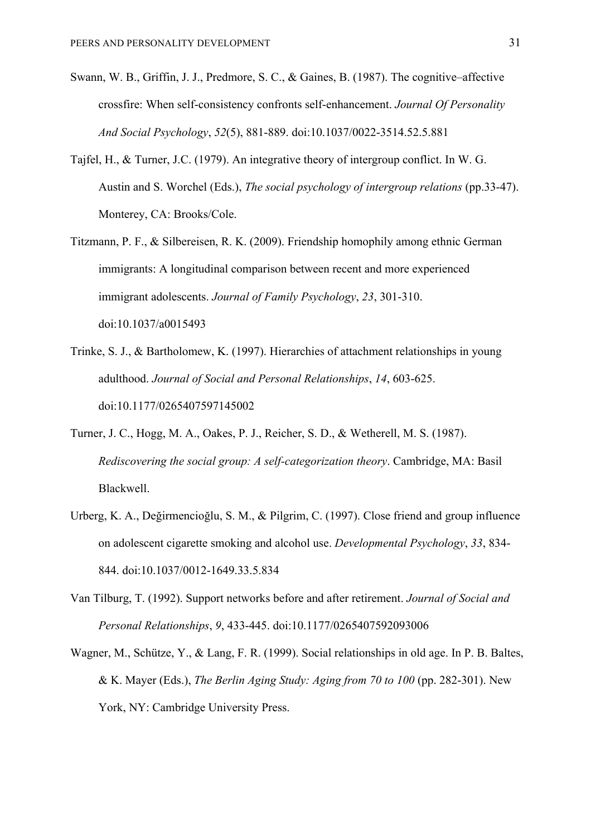- Swann, W. B., Griffin, J. J., Predmore, S. C., & Gaines, B. (1987). The cognitive–affective crossfire: When self-consistency confronts self-enhancement. *Journal Of Personality And Social Psychology*, *52*(5), 881-889. doi:10.1037/0022-3514.52.5.881
- Tajfel, H., & Turner, J.C. (1979). An integrative theory of intergroup conflict. In W. G. Austin and S. Worchel (Eds.), *The social psychology of intergroup relations* (pp.33-47). Monterey, CA: Brooks/Cole.
- Titzmann, P. F., & Silbereisen, R. K. (2009). Friendship homophily among ethnic German immigrants: A longitudinal comparison between recent and more experienced immigrant adolescents. *Journal of Family Psychology*, *23*, 301-310. doi:10.1037/a0015493
- Trinke, S. J., & Bartholomew, K. (1997). Hierarchies of attachment relationships in young adulthood. *Journal of Social and Personal Relationships*, *14*, 603-625. doi:10.1177/0265407597145002
- Turner, J. C., Hogg, M. A., Oakes, P. J., Reicher, S. D., & Wetherell, M. S. (1987). *Rediscovering the social group: A self-categorization theory*. Cambridge, MA: Basil Blackwell.
- Urberg, K. A., Değirmencioğlu, S. M., & Pilgrim, C. (1997). Close friend and group influence on adolescent cigarette smoking and alcohol use. *Developmental Psychology*, *33*, 834- 844. doi:10.1037/0012-1649.33.5.834
- Van Tilburg, T. (1992). Support networks before and after retirement. *Journal of Social and Personal Relationships*, *9*, 433-445. doi:10.1177/0265407592093006
- Wagner, M., Schütze, Y., & Lang, F. R. (1999). Social relationships in old age. In P. B. Baltes, & K. Mayer (Eds.), *The Berlin Aging Study: Aging from 70 to 100* (pp. 282-301). New York, NY: Cambridge University Press.